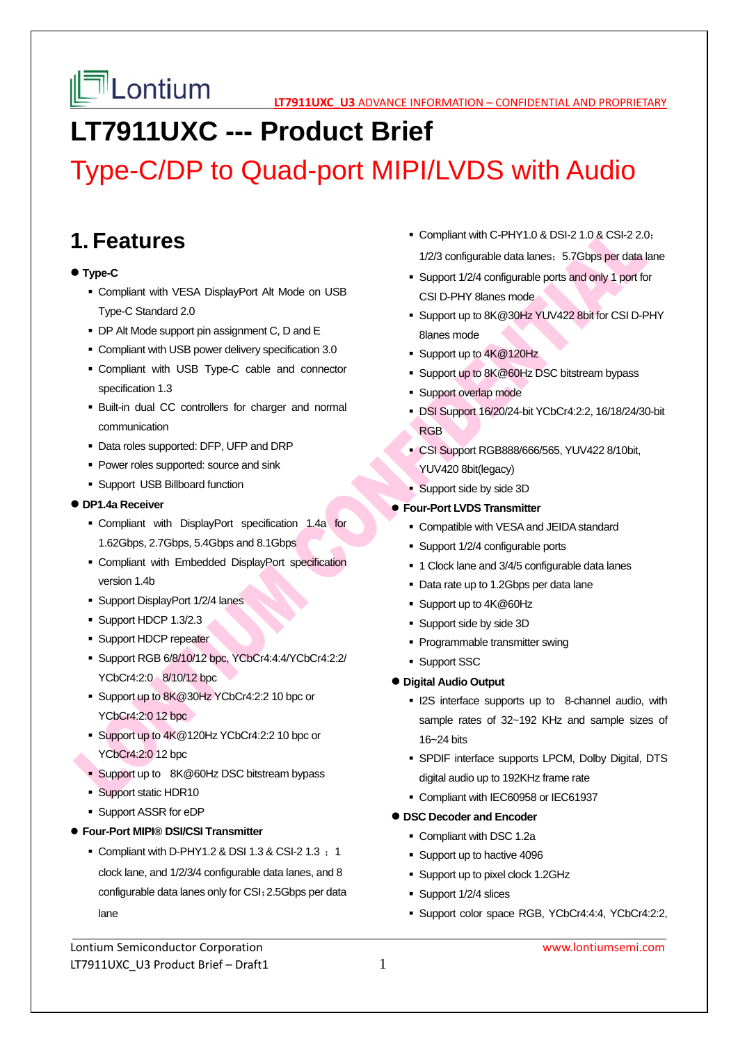

# **LT7911UXC --- Product Brief**

# Type-C/DP to Quad-port MIPI/LVDS with Audio

# **1. Features**

### **Type-C**

- Compliant with VESA DisplayPort Alt Mode on USB Type-C Standard 2.0
- DP Alt Mode support pin assignment C, D and E
- Compliant with USB power delivery specification 3.0
- Compliant with USB Type-C cable and connector specification 1.3
- Built-in dual CC controllers for charger and normal communication
- Data roles supported: DFP, UFP and DRP
- **Power roles supported: source and sink**
- **Support USB Billboard function**

### **DP1.4a Receiver**

- Compliant with DisplayPort specification 1.4a for 1.62Gbps, 2.7Gbps, 5.4Gbps and 8.1Gbps
- Compliant with Embedded DisplayPort specification version 1.4b
- **Support DisplayPort 1/2/4 lanes**
- Support HDCP 1.3/2.3
- **Support HDCP repeater**
- Support RGB 6/8/10/12 bpc, YCbCr4:4:4/YCbCr4:2:2/ YCbCr4:2:0 8/10/12 bpc
- Support up to 8K@30Hz YCbCr4:2:2 10 bpc or YCbCr4:2:0 12 bpc
- Support up to 4K@120Hz YCbCr4:2:2 10 bpc or YCbCr4:2:0 12 bpc
- **Support up to 8K@60Hz DSC bitstream bypass**
- **Support static HDR10**
- Support ASSR for eDP
- **Four-Port MIPI® DSI/CSI Transmitter** 
	- Compliant with D-PHY1.2 & DSI 1.3 & CSI-2 1.3  $\div$  1 clock lane, and 1/2/3/4 configurable data lanes, and 8 configurable data lanes only for CSI;2.5Gbps per data lane
- Compliant with C-PHY1.0 & DSI-2 1.0 & CSI-2 2.0; 1/2/3 configurable data lanes; 5.7Gbps per data lane
- Support 1/2/4 configurable ports and only 1 port for CSI D-PHY 8lanes mode
- Support up to 8K@30Hz YUV422 8bit for CSI D-PHY 8lanes mode
- Support up to 4K@120Hz
- Support up to 8K@60Hz DSC bitstream bypass
- **Support overlap mode**
- DSI Support 16/20/24-bit YCbCr4:2:2, 16/18/24/30-bit RGB
- CSI Support RGB888/666/565, YUV422 8/10bit, YUV420 8bit(legacy)
- Support side by side 3D

### **Four-Port LVDS Transmitter**

- Compatible with VESA and JEIDA standard
- Support 1/2/4 configurable ports
- 1 Clock lane and 3/4/5 configurable data lanes
- Data rate up to 1.2Gbps per data lane
- Support up to 4K@60Hz
- Support side by side 3D
- **Programmable transmitter swing**
- **Support SSC**

## **Digital Audio Output**

- **I2S** interface supports up to 8-channel audio, with sample rates of 32~192 KHz and sample sizes of 16~24 bits
- SPDIF interface supports LPCM, Dolby Digital, DTS digital audio up to 192KHz frame rate
- Compliant with IEC60958 or IEC61937

## **DSC Decoder and Encoder**

- Compliant with DSC 1.2a
- Support up to hactive 4096
- Support up to pixel clock 1.2GHz
- Support 1/2/4 slices
- Support color space RGB, YCbCr4:4:4, YCbCr4:2:2,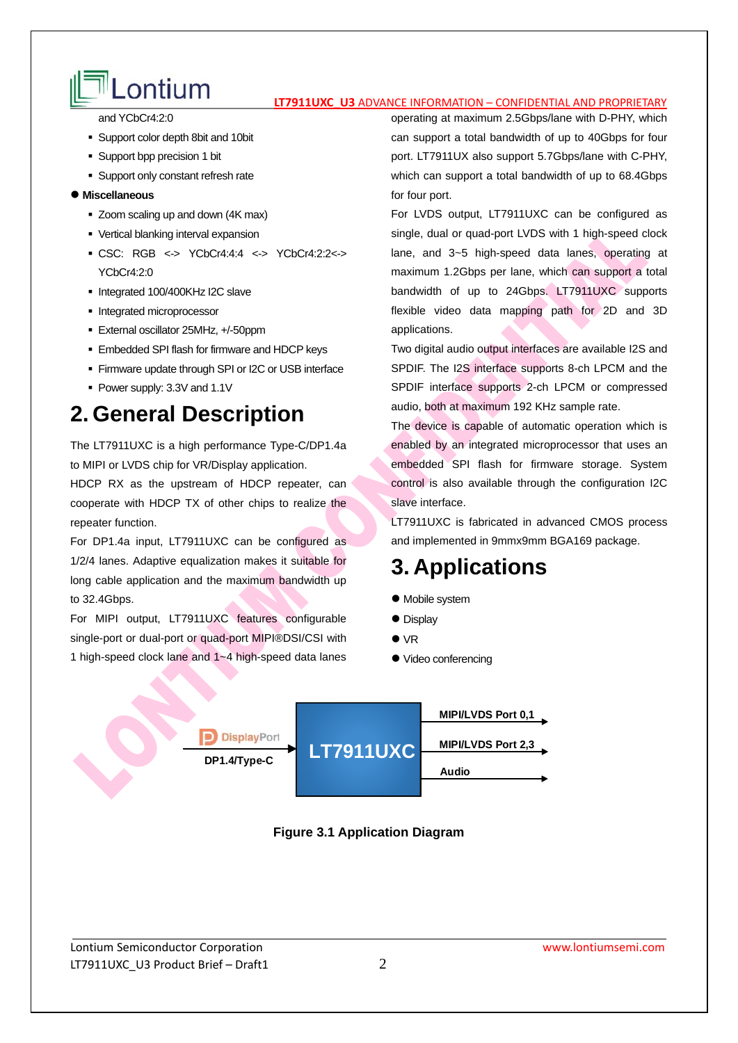# Lontium **Latishing Confidential And Proprietary**

and YCbCr4:2:0

- Support color depth 8bit and 10bit
- Support bpp precision 1 bit
- **Support only constant refresh rate**

#### **Miscellaneous**

- Zoom scaling up and down (4K max)
- Vertical blanking interval expansion
- CSC: RGB <-> YCbCr4:4:4 <-> YCbCr4:2:2<-> YCbCr4:2:0
- Integrated 100/400KHz I2C slave
- **Integrated microprocessor**
- External oscillator 25MHz, +/-50ppm
- Embedded SPI flash for firmware and HDCP keys
- **Firmware update through SPI or I2C or USB interface**
- Power supply: 3.3V and 1.1V

# **2. General Description**

The LT7911UXC is a high performance Type-C/DP1.4a to MIPI or LVDS chip for VR/Display application.

HDCP RX as the upstream of HDCP repeater, can cooperate with HDCP TX of other chips to realize the repeater function.

For DP1.4a input, LT7911UXC can be configured as 1/2/4 lanes. Adaptive equalization makes it suitable for long cable application and the maximum bandwidth up to 32.4Gbps.

For MIPI output, LT7911UXC features configurable single-port or dual-port or quad-port MIPI®DSI/CSI with 1 high-speed clock lane and 1~4 high-speed data lanes

operating at maximum 2.5Gbps/lane with D-PHY, which can support a total bandwidth of up to 40Gbps for four port. LT7911UX also support 5.7Gbps/lane with C-PHY, which can support a total bandwidth of up to 68.4Gbps for four port.

For LVDS output, LT7911UXC can be configured as single, dual or quad-port LVDS with 1 high-speed clock lane, and 3~5 high-speed data lanes, operating at maximum 1.2Gbps per lane, which can support a total bandwidth of up to 24Gbps. LT7911UXC supports flexible video data mapping path for 2D and 3D applications.

Two digital audio output interfaces are available I2S and SPDIF. The I2S interface supports 8-ch LPCM and the SPDIF interface supports 2-ch LPCM or compressed audio, both at maximum 192 KHz sample rate.

The device is capable of automatic operation which is enabled by an integrated microprocessor that uses an embedded SPI flash for firmware storage. System control is also available through the configuration I2C slave interface.

LT7911UXC is fabricated in advanced CMOS process and implemented in 9mmx9mm BGA169 package.

# **3. Applications**

- Mobile system
- Display
- VR
- $\bullet$  Video conferencing



**Figure 3.1 Application Diagram**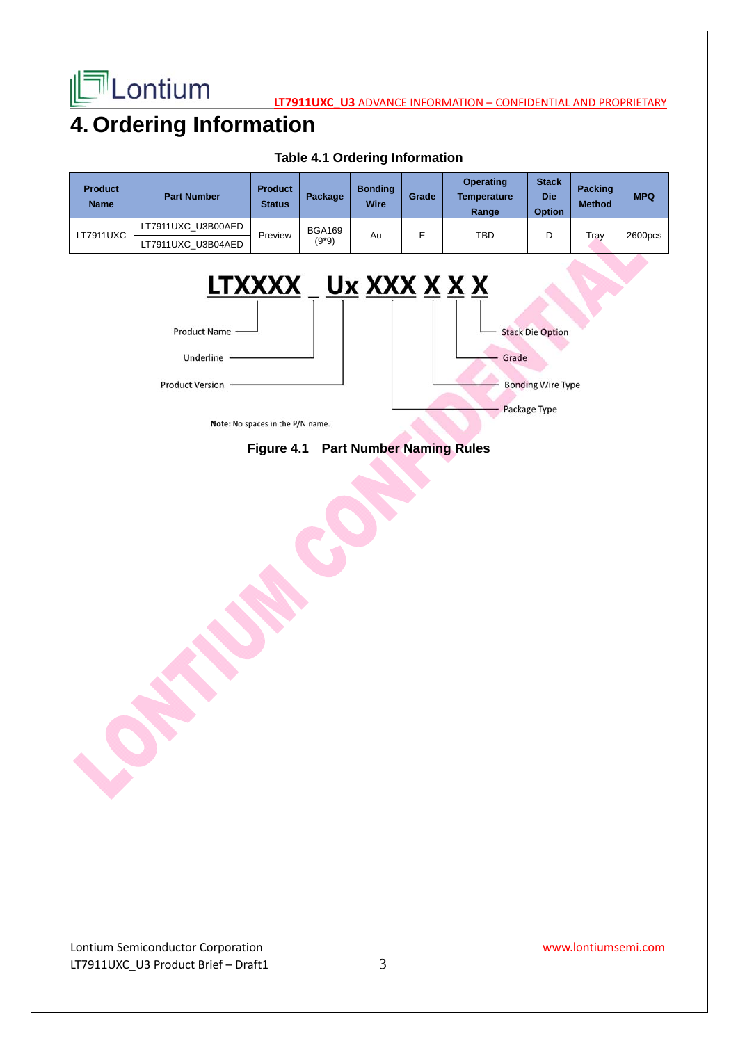

**LATTILONIUM** 

# **4. Ordering Information**

| <b>Product</b><br><b>Name</b> | <b>Part Number</b> | <b>Product</b><br><b>Status</b> | Package                  | <b>Bonding</b><br>Wire | Grade | <b>Operating</b><br>Temperature<br>Range | <b>Stack</b><br><b>Die</b><br><b>Option</b> | <b>Packing</b><br><b>Method</b> | <b>MPQ</b> |
|-------------------------------|--------------------|---------------------------------|--------------------------|------------------------|-------|------------------------------------------|---------------------------------------------|---------------------------------|------------|
| <b>LT7911UXC</b>              | LT7911UXC U3B00AED | Preview                         | <b>BGA169</b><br>$(9*9)$ | Au                     | E     | <b>TBD</b>                               | D                                           | Tray                            | 2600pcs    |
|                               | LT7911UXC U3B04AED |                                 |                          |                        |       |                                          |                                             |                                 |            |

### **Table 4.1 Ordering Information**



Note: No spaces in the P/N name.

# **Figure 4.1 Part Number Naming Rules**